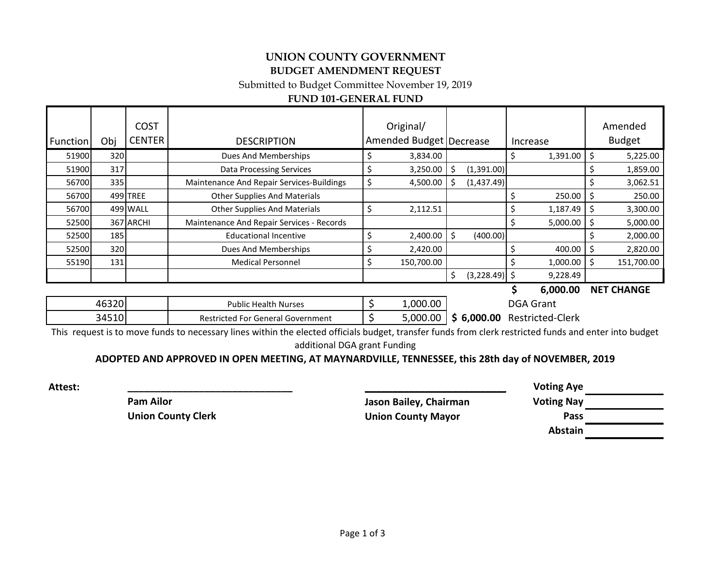# **UNION COUNTY GOVERNMENT BUDGET AMENDMENT REQUEST**

Submitted to Budget Committee November 19, 2019

# **FUND 101-GENERAL FUND**

| <b>Function</b> | Obj        | <b>COST</b><br><b>CENTER</b> | <b>DESCRIPTION</b>                        | Original/<br>Amended Budget   Decrease |    |                 | Increase | Amended<br><b>Budget</b> |
|-----------------|------------|------------------------------|-------------------------------------------|----------------------------------------|----|-----------------|----------|--------------------------|
| 51900           | 320        |                              | Dues And Memberships                      | 3,834.00                               |    |                 | 1,391.00 | 5,225.00                 |
| 51900           | 317        |                              | <b>Data Processing Services</b>           | 3,250.00                               | S  | (1,391.00)      |          | 1,859.00                 |
| 56700           | 335        |                              | Maintenance And Repair Services-Buildings | 4,500.00                               |    | (1,437.49)      |          | 3,062.51                 |
| 56700           |            | 499 TREE                     | <b>Other Supplies And Materials</b>       |                                        |    |                 | 250.00   | 250.00                   |
| 56700           |            | 499 WALL                     | <b>Other Supplies And Materials</b>       | 2,112.51                               |    |                 | 1,187.49 | 3,300.00                 |
| 52500           |            | 367 ARCHI                    | Maintenance And Repair Services - Records |                                        |    |                 | 5,000.00 | 5,000.00                 |
| 52500           | <b>185</b> |                              | <b>Educational Incentive</b>              | 2,400.00                               | Ŝ. | (400.00)        |          | 2,000.00                 |
| 52500           | 320        |                              | Dues And Memberships                      | 2,420.00                               |    |                 | 400.00   | 2,820.00                 |
| 55190           | 131        |                              | <b>Medical Personnel</b>                  | 150,700.00                             |    |                 | 1,000.00 | 151,700.00               |
|                 |            |                              |                                           |                                        | Ś. | $(3,228.49)$ \$ | 9,228.49 |                          |

### **\$ 6,000.00 NET CHANGE**

| 46320 | Public Health Nurses                     | ∴000.00   | DGA<br>Grant                        |
|-------|------------------------------------------|-----------|-------------------------------------|
| 34510 | <b>Restricted For General Government</b> | 000.00, ز | <b>Restricted-Clerk</b><br>6,000.00 |

This request is to move funds to necessary lines within the elected officials budget, transfer funds from clerk restricted funds and enter into budget additional DGA grant Funding

## **ADOPTED AND APPROVED IN OPEN MEETING, AT MAYNARDVILLE, TENNESSEE, this 28th day of NOVEMBER, 2019**

**Pam Ailor Jason Bailey, Chairman Voting Nay Union County Clerk Union County Mayor Pass**

**Attest: \_\_\_\_\_\_\_\_\_\_\_\_\_\_\_\_\_\_\_\_\_\_\_\_\_\_\_\_\_\_ \_\_\_\_\_\_\_\_\_\_\_\_\_\_\_\_\_\_\_\_\_\_\_\_\_\_\_\_\_\_ Voting Aye Abstain**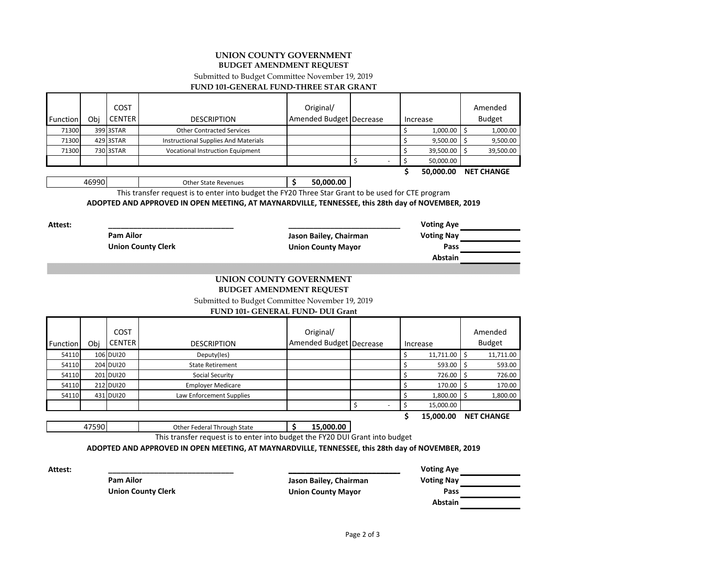### **UNION COUNTY GOVERNMENT BUDGET AMENDMENT REQUEST**

Submitted to Budget Committee November 19, 2019

#### **FUND 101-GENERAL FUND-THREE STAR GRANT**

|                 |     | <b>COST</b>   |                                         | Original/               |                          |               | Amended           |
|-----------------|-----|---------------|-----------------------------------------|-------------------------|--------------------------|---------------|-------------------|
| <b>Function</b> | Obi | <b>CENTER</b> | <b>DESCRIPTION</b>                      | Amended Budget Decrease |                          | Increase      | <b>Budget</b>     |
| 71300           |     | 399 3STAR     | <b>Other Contracted Services</b>        |                         |                          | $1,000.00$ \$ | 1,000.00          |
| 71300           |     | 429 3STAR     | Instructional Supplies And Materials    |                         |                          | $9,500.00$ \$ | 9,500.00          |
| 71300           |     | 730 3STAR     | <b>Vocational Instruction Equipment</b> |                         |                          | 39,500.00 \$  | 39,500.00         |
|                 |     |               |                                         |                         | $\overline{\phantom{a}}$ | 50.000.00     |                   |
|                 |     |               |                                         |                         |                          | 50.000.00     | <b>NET CHANGE</b> |

46990 Other State Revenues **\$ 50,000.00**

47590 Other Federal Through State **\$ 15,000.00**

This transfer request is to enter into budget the FY20 Three Star Grant to be used for CTE program

**ADOPTED AND APPROVED IN OPEN MEETING, AT MAYNARDVILLE, TENNESSEE, this 28th day of NOVEMBER, 2019**

**Attest: \_\_\_\_\_\_\_\_\_\_\_\_\_\_\_\_\_\_\_\_\_\_\_\_\_\_\_\_\_\_ \_\_\_\_\_\_\_\_\_\_\_\_\_\_\_\_\_\_\_\_\_\_\_\_\_\_\_\_\_\_ Voting Aye Pam Ailor Jason Bailey, Chairman Voting Nay Union County Clerk Union County Mayor Pass Abstain**

### **UNION COUNTY GOVERNMENT BUDGET AMENDMENT REQUEST**

Submitted to Budget Committee November 19, 2019

#### **FUND 101- GENERAL FUND- DUI Grant**

|          |     | COST          |                          | Original/               |  |           | Amended           |
|----------|-----|---------------|--------------------------|-------------------------|--|-----------|-------------------|
| Function | Obi | <b>CENTER</b> | <b>DESCRIPTION</b>       | Amended Budget Decrease |  | Increase  | <b>Budget</b>     |
| 54110    |     | 106 DUI20     | Deputy(les)              |                         |  | 11,711.00 | 11,711.00         |
| 54110    |     | 204 DUI20     | <b>State Retirement</b>  |                         |  | 593.00    | 593.00            |
| 54110    |     | 201 DUI20     | Social Security          |                         |  | 726.00    | 726.00            |
| 54110    |     | 212 DUI20     | <b>Employer Medicare</b> |                         |  | 170.00    | 170.00            |
| 54110    |     | 431 DUI20     | Law Enforcement Supplies |                         |  | 1,800.00  | 1,800.00          |
|          |     |               |                          |                         |  | 15,000.00 |                   |
|          |     |               |                          |                         |  | 15,000.00 | <b>NET CHANGE</b> |

**\$ 15,000.00 NET CHANGE**

This transfer request is to enter into budget the FY20 DUI Grant into budget

**ADOPTED AND APPROVED IN OPEN MEETING, AT MAYNARDVILLE, TENNESSEE, this 28th day of NOVEMBER, 2019**

**Pam Ailor Jason Bailey, Chairman Voting Nay Union County Clerk Union County Mayor Pass**

**Attest: \_\_\_\_\_\_\_\_\_\_\_\_\_\_\_\_\_\_\_\_\_\_\_\_\_\_\_\_\_\_ \_\_\_\_\_\_\_\_\_\_\_\_\_\_\_\_\_\_\_\_\_\_\_\_\_\_\_\_\_\_ Voting Aye Abstain**